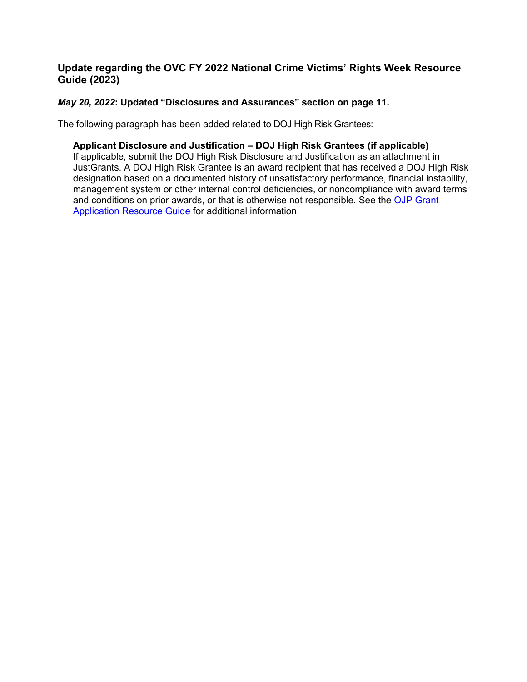# **Update regarding the OVC FY 2022 National Crime Victims' Rights Week Resource Guide (2023)**

# *May 20, 2022***: Updated "Disclosures and Assurances" section on page 11.**

The following paragraph has been added related to DOJ High Risk Grantees:

# **Applicant Disclosure and Justification – DOJ High Risk Grantees (if applicable)**

If applicable, submit the DOJ High Risk Disclosure and Justification as an attachment in JustGrants. A DOJ High Risk Grantee is an award recipient that has received a DOJ High Risk designation based on a documented history of unsatisfactory performance, financial instability, management system or other internal control deficiencies, or noncompliance with award terms and conditions on prior awards, or that is otherwise not responsible. See the OJP Grant [Application Resource Guide](https://www.ojp.gov/funding/apply/ojp-grant-application-resource-guide#administrative) for additional information.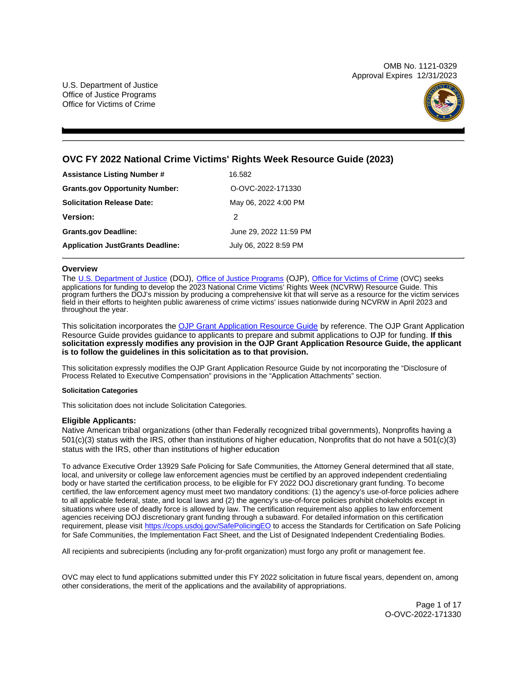OMB No. 1121-0329 Approval Expires 12/31/2023

U.S. Department of Justice Office of Justice Programs Office for Victims of Crime



## **OVC FY 2022 National Crime Victims' Rights Week Resource Guide (2023)**

| <b>Assistance Listing Number #</b>      | 16.582                 |
|-----------------------------------------|------------------------|
| <b>Grants.gov Opportunity Number:</b>   | O-OVC-2022-171330      |
| <b>Solicitation Release Date:</b>       | May 06, 2022 4:00 PM   |
| <b>Version:</b>                         | 2                      |
| <b>Grants.gov Deadline:</b>             | June 29, 2022 11:59 PM |
| <b>Application JustGrants Deadline:</b> | July 06, 2022 8:59 PM  |

#### **Overview**

The [U.S. Department of Justice](https://www.usdoj.gov/) (DOJ), [Office of Justice Programs](https://www.ojp.usdoj.gov/) (OJP), [Office for Victims of Crime](http://www.ovc.ojp.gov) (OVC) seeks applications for funding to develop the 2023 National Crime Victims' Rights Week (NCVRW) Resource Guide. This program furthers the DOJ's mission by producing a comprehensive kit that will serve as a resource for the victim services field in their efforts to heighten public awareness of crime victims' issues nationwide during NCVRW in April 2023 and throughout the year.

This solicitation incorporates the [OJP Grant Application Resource Guide](https://www.ojp.gov/funding/Apply/Resources/Grant-App-Resource-Guide.htm) by reference. The OJP Grant Application Resource Guide provides guidance to applicants to prepare and submit applications to OJP for funding. **If this solicitation expressly modifies any provision in the OJP Grant Application Resource Guide, the applicant is to follow the guidelines in this solicitation as to that provision.** 

This solicitation expressly modifies the OJP Grant Application Resource Guide by not incorporating the "Disclosure of Process Related to Executive Compensation" provisions in the "Application Attachments" section.

#### **Solicitation Categories**

This solicitation does not include Solicitation Categories.

#### **Eligible Applicants:**

Native American tribal organizations (other than Federally recognized tribal governments), Nonprofits having a 501(c)(3) status with the IRS, other than institutions of higher education, Nonprofits that do not have a 501(c)(3) status with the IRS, other than institutions of higher education

To advance Executive Order 13929 Safe Policing for Safe Communities, the Attorney General determined that all state, local, and university or college law enforcement agencies must be certified by an approved independent credentialing body or have started the certification process, to be eligible for FY 2022 DOJ discretionary grant funding. To become certified, the law enforcement agency must meet two mandatory conditions: (1) the agency's use-of-force policies adhere to all applicable federal, state, and local laws and (2) the agency's use-of-force policies prohibit chokeholds except in situations where use of deadly force is allowed by law. The certification requirement also applies to law enforcement agencies receiving DOJ discretionary grant funding through a subaward. For detailed information on this certification requirement, please visit <https://cops.usdoj.gov/SafePolicingEO>to access the Standards for Certification on Safe Policing for Safe Communities, the Implementation Fact Sheet, and the List of Designated Independent Credentialing Bodies.

All recipients and subrecipients (including any for-profit organization) must forgo any profit or management fee.

OVC may elect to fund applications submitted under this FY 2022 solicitation in future fiscal years, dependent on, among other considerations, the merit of the applications and the availability of appropriations.

> Page 1 of 17 O-OVC-2022-171330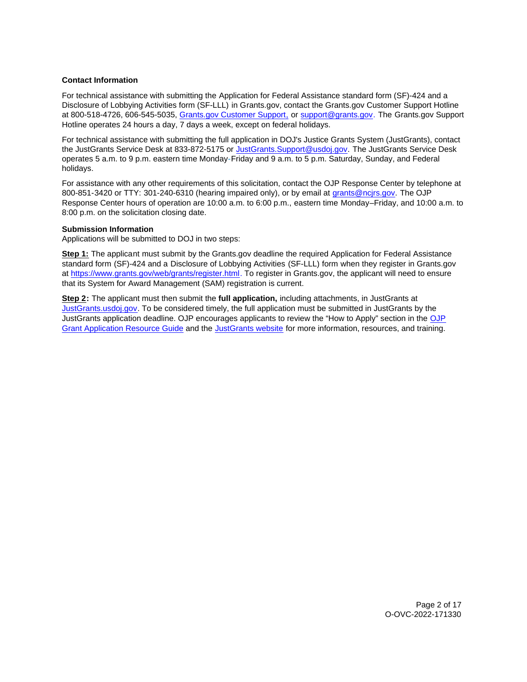## <span id="page-2-0"></span>**Contact Information**

For technical assistance with submitting the Application for Federal Assistance standard form (SF)-424 and a Disclosure of Lobbying Activities form (SF-LLL) in [Grants.gov,](https://Grants.gov) contact the [Grants.gov](https://Grants.gov) Customer Support Hotline at 800-518-4726, 606-545-5035, [Grants.gov Customer Support,](https://www.grants.gov/web/grants/support.html) or [support@grants.gov.](mailto:support@grants.gov) The [Grants.gov](https://Grants.gov) Support Hotline operates 24 hours a day, 7 days a week, except on federal holidays.

For technical assistance with submitting the full application in DOJ's Justice Grants System (JustGrants), contact the JustGrants Service Desk at 833-872-5175 or [JustGrants.Support@usdoj.gov.](mailto:JustGrants.Support@usdoj.gov) The JustGrants Service Desk operates 5 a.m. to 9 p.m. eastern time Monday-Friday and 9 a.m. to 5 p.m. Saturday, Sunday, and Federal holidays.

For assistance with any other requirements of this solicitation, contact the OJP Response Center by telephone at 800-851-3420 or TTY: 301-240-6310 (hearing impaired only), or by email at [grants@ncjrs.gov.](mailto:grants@ncjrs.gov) The OJP Response Center hours of operation are 10:00 a.m. to 6:00 p.m., eastern time Monday–Friday, and 10:00 a.m. to 8:00 p.m. on the solicitation closing date.

## **Submission Information**

Applications will be submitted to DOJ in two steps:

**Step 1:** The applicant must submit by the [Grants.gov](https://Grants.gov) deadline the required Application for Federal Assistance standard form (SF)-424 and a Disclosure of Lobbying Activities (SF-LLL) form when they register in [Grants.gov](https://Grants.gov)  at [https://www.grants.gov/web/grants/register.html.](https://www.grants.gov/web/grants/register.html) To register in [Grants.gov,](https://Grants.gov) the applicant will need to ensure that its System for Award Management (SAM) registration is current.

**Step 2:** The applicant must then submit the **full application,** including attachments, in JustGrants at [JustGrants.usdoj.gov.](https://justicegrants.usdoj.gov/) To be considered timely, the full application must be submitted in JustGrants by the JustGrants application deadline. OJP encourages applicants to review the "How to Apply" section in the [OJP](https://www.ojp.gov/funding/apply/ojp-grant-application-resource-guide#apply)  [Grant Application Resource Guide](https://www.ojp.gov/funding/apply/ojp-grant-application-resource-guide#apply) and the [JustGrants website](https://justicegrants.usdoj.gov/news) for more information, resources, and training.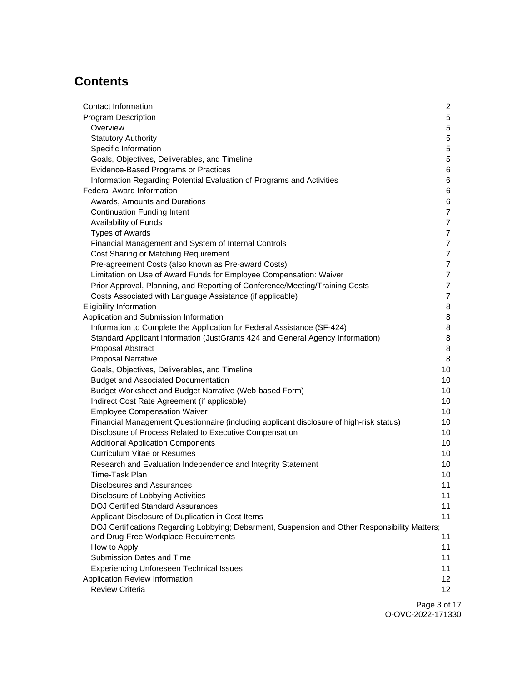# **Contents**

| Contact Information                                                                            | $\mathbf{2}$    |
|------------------------------------------------------------------------------------------------|-----------------|
| <b>Program Description</b>                                                                     | 5               |
| Overview                                                                                       | 5               |
| <b>Statutory Authority</b>                                                                     | 5               |
| Specific Information                                                                           | $\mathbf 5$     |
| Goals, Objectives, Deliverables, and Timeline                                                  | 5               |
| Evidence-Based Programs or Practices                                                           | 6               |
| Information Regarding Potential Evaluation of Programs and Activities                          | 6               |
| <b>Federal Award Information</b>                                                               | 6               |
| Awards, Amounts and Durations                                                                  | 6               |
| <b>Continuation Funding Intent</b>                                                             | $\overline{7}$  |
| Availability of Funds                                                                          | $\overline{7}$  |
| <b>Types of Awards</b>                                                                         | $\overline{7}$  |
| Financial Management and System of Internal Controls                                           | $\overline{7}$  |
| Cost Sharing or Matching Requirement                                                           | $\overline{7}$  |
| Pre-agreement Costs (also known as Pre-award Costs)                                            | $\overline{7}$  |
| Limitation on Use of Award Funds for Employee Compensation: Waiver                             | $\overline{7}$  |
| Prior Approval, Planning, and Reporting of Conference/Meeting/Training Costs                   | $\overline{7}$  |
| Costs Associated with Language Assistance (if applicable)                                      | $\overline{7}$  |
| <b>Eligibility Information</b>                                                                 | 8               |
| Application and Submission Information                                                         | 8               |
| Information to Complete the Application for Federal Assistance (SF-424)                        | 8               |
| Standard Applicant Information (JustGrants 424 and General Agency Information)                 | 8               |
| Proposal Abstract                                                                              | 8               |
| <b>Proposal Narrative</b>                                                                      | 8               |
| Goals, Objectives, Deliverables, and Timeline                                                  | 10              |
| <b>Budget and Associated Documentation</b>                                                     | 10              |
| Budget Worksheet and Budget Narrative (Web-based Form)                                         | 10              |
| Indirect Cost Rate Agreement (if applicable)                                                   | 10              |
| <b>Employee Compensation Waiver</b>                                                            | 10              |
| Financial Management Questionnaire (including applicant disclosure of high-risk status)        | 10              |
| Disclosure of Process Related to Executive Compensation                                        | 10              |
| <b>Additional Application Components</b>                                                       | 10              |
| <b>Curriculum Vitae or Resumes</b>                                                             | 10              |
| Research and Evaluation Independence and Integrity Statement                                   | 10              |
| Time-Task Plan                                                                                 | 10              |
| Disclosures and Assurances                                                                     | 11              |
| Disclosure of Lobbying Activities                                                              | 11              |
| <b>DOJ Certified Standard Assurances</b>                                                       | 11              |
| Applicant Disclosure of Duplication in Cost Items                                              | 11              |
| DOJ Certifications Regarding Lobbying; Debarment, Suspension and Other Responsibility Matters; |                 |
| and Drug-Free Workplace Requirements                                                           | 11              |
| How to Apply                                                                                   | 11              |
| Submission Dates and Time                                                                      | 11              |
| <b>Experiencing Unforeseen Technical Issues</b>                                                | 11              |
| Application Review Information                                                                 | 12 <sup>2</sup> |
| <b>Review Criteria</b>                                                                         | 12 <sup>2</sup> |
|                                                                                                |                 |

Page 3 of 17 O-OVC-2022-171330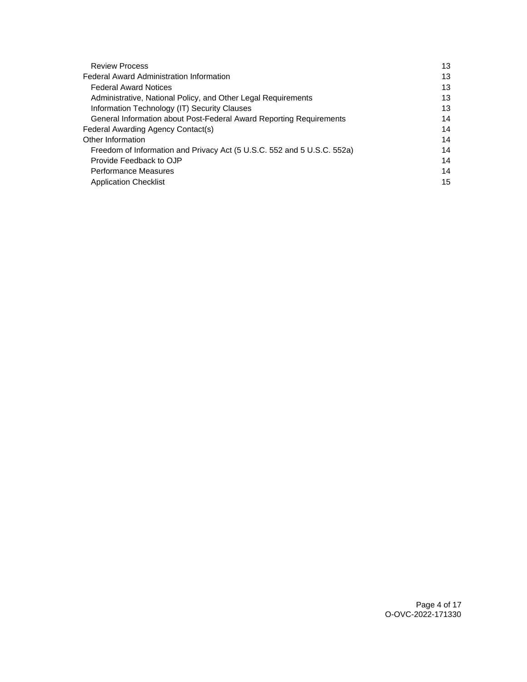| <b>Review Process</b>                                                   | 13 |
|-------------------------------------------------------------------------|----|
| <b>Federal Award Administration Information</b>                         | 13 |
| <b>Federal Award Notices</b>                                            | 13 |
| Administrative, National Policy, and Other Legal Requirements           | 13 |
| Information Technology (IT) Security Clauses                            | 13 |
| General Information about Post-Federal Award Reporting Requirements     | 14 |
| Federal Awarding Agency Contact(s)                                      | 14 |
| Other Information                                                       | 14 |
| Freedom of Information and Privacy Act (5 U.S.C. 552 and 5 U.S.C. 552a) | 14 |
| Provide Feedback to OJP                                                 | 14 |
| <b>Performance Measures</b>                                             | 14 |
| <b>Application Checklist</b>                                            | 15 |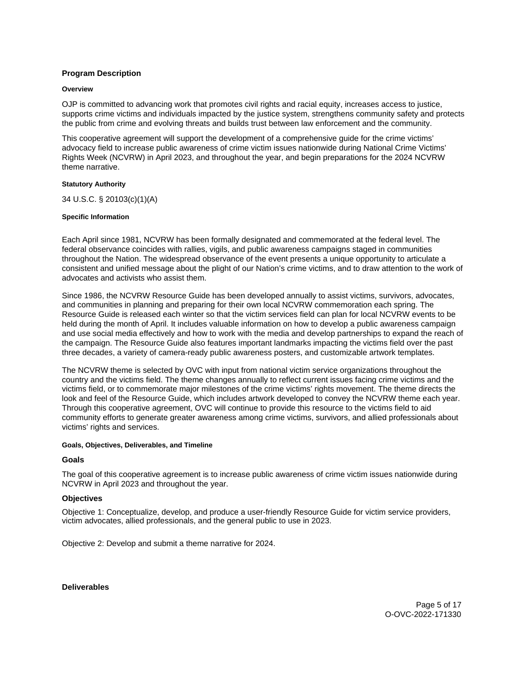## <span id="page-5-0"></span>**Program Description**

#### **Overview**

OJP is committed to advancing work that promotes civil rights and racial equity, increases access to justice, supports crime victims and individuals impacted by the justice system, strengthens community safety and protects the public from crime and evolving threats and builds trust between law enforcement and the community.

This cooperative agreement will support the development of a comprehensive guide for the crime victims' advocacy field to increase public awareness of crime victim issues nationwide during National Crime Victims' Rights Week (NCVRW) in April 2023, and throughout the year, and begin preparations for the 2024 NCVRW theme narrative.

#### **Statutory Authority**

34 U.S.C. § 20103(c)(1)(A)

## **Specific Information**

Each April since 1981, NCVRW has been formally designated and commemorated at the federal level. The federal observance coincides with rallies, vigils, and public awareness campaigns staged in communities throughout the Nation. The widespread observance of the event presents a unique opportunity to articulate a consistent and unified message about the plight of our Nation's crime victims, and to draw attention to the work of advocates and activists who assist them.

Since 1986, the NCVRW Resource Guide has been developed annually to assist victims, survivors, advocates, and communities in planning and preparing for their own local NCVRW commemoration each spring. The Resource Guide is released each winter so that the victim services field can plan for local NCVRW events to be held during the month of April. It includes valuable information on how to develop a public awareness campaign and use social media effectively and how to work with the media and develop partnerships to expand the reach of the campaign. The Resource Guide also features important landmarks impacting the victims field over the past three decades, a variety of camera-ready public awareness posters, and customizable artwork templates.

The NCVRW theme is selected by OVC with input from national victim service organizations throughout the country and the victims field. The theme changes annually to reflect current issues facing crime victims and the victims field, or to commemorate major milestones of the crime victims' rights movement. The theme directs the look and feel of the Resource Guide, which includes artwork developed to convey the NCVRW theme each year. Through this cooperative agreement, OVC will continue to provide this resource to the victims field to aid community efforts to generate greater awareness among crime victims, survivors, and allied professionals about victims' rights and services.

#### **Goals, Objectives, Deliverables, and Timeline**

## **Goals**

The goal of this cooperative agreement is to increase public awareness of crime victim issues nationwide during NCVRW in April 2023 and throughout the year.

## **Objectives**

Objective 1: Conceptualize, develop, and produce a user-friendly Resource Guide for victim service providers, victim advocates, allied professionals, and the general public to use in 2023.

Objective 2: Develop and submit a theme narrative for 2024.

**Deliverables** 

Page 5 of 17 O-OVC-2022-171330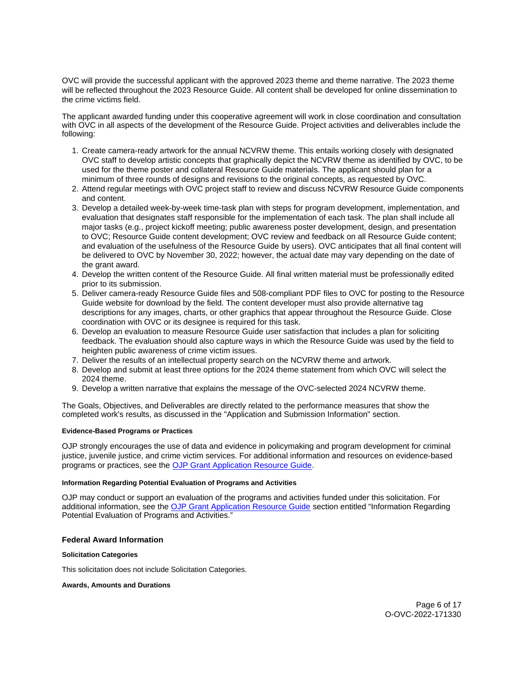<span id="page-6-0"></span>OVC will provide the successful applicant with the approved 2023 theme and theme narrative. The 2023 theme will be reflected throughout the 2023 Resource Guide. All content shall be developed for online dissemination to the crime victims field.

The applicant awarded funding under this cooperative agreement will work in close coordination and consultation with OVC in all aspects of the development of the Resource Guide. Project activities and deliverables include the following:

- 1. Create camera-ready artwork for the annual NCVRW theme. This entails working closely with designated OVC staff to develop artistic concepts that graphically depict the NCVRW theme as identified by OVC, to be used for the theme poster and collateral Resource Guide materials. The applicant should plan for a minimum of three rounds of designs and revisions to the original concepts, as requested by OVC.
- 2. Attend regular meetings with OVC project staff to review and discuss NCVRW Resource Guide components and content.
- 3. Develop a detailed week-by-week time-task plan with steps for program development, implementation, and evaluation that designates staff responsible for the implementation of each task. The plan shall include all major tasks (e.g., project kickoff meeting; public awareness poster development, design, and presentation to OVC; Resource Guide content development; OVC review and feedback on all Resource Guide content; and evaluation of the usefulness of the Resource Guide by users). OVC anticipates that all final content will be delivered to OVC by November 30, 2022; however, the actual date may vary depending on the date of the grant award.
- 4. Develop the written content of the Resource Guide. All final written material must be professionally edited prior to its submission.
- 5. Deliver camera-ready Resource Guide files and 508-compliant PDF files to OVC for posting to the Resource Guide website for download by the field. The content developer must also provide alternative tag descriptions for any images, charts, or other graphics that appear throughout the Resource Guide. Close coordination with OVC or its designee is required for this task.
- 6. Develop an evaluation to measure Resource Guide user satisfaction that includes a plan for soliciting feedback. The evaluation should also capture ways in which the Resource Guide was used by the field to heighten public awareness of crime victim issues.
- 7. Deliver the results of an intellectual property search on the NCVRW theme and artwork.
- 8. Develop and submit at least three options for the 2024 theme statement from which OVC will select the 2024 theme.
- 9. Develop a written narrative that explains the message of the OVC-selected 2024 NCVRW theme.

The Goals, Objectives, and Deliverables are directly related to the performance measures that show the completed work's results, as discussed in the "Application and Submission Information" section.

#### **Evidence-Based Programs or Practices**

OJP strongly encourages the use of data and evidence in policymaking and program development for criminal justice, juvenile justice, and crime victim services. For additional information and resources on evidence-based programs or practices, see the [OJP Grant Application Resource Guide.](https://www.ojp.gov/funding/apply/ojp-grant-application-resource-guide#evidence-based)

## **Information Regarding Potential Evaluation of Programs and Activities**

OJP may conduct or support an evaluation of the programs and activities funded under this solicitation. For additional information, see the [OJP Grant Application Resource Guide](https://www.ojp.gov/funding/apply/ojp-grant-application-resource-guide#potential-evaluation) section entitled "Information Regarding Potential Evaluation of Programs and Activities."

## **Federal Award Information**

## **Solicitation Categories**

This solicitation does not include Solicitation Categories.

#### **Awards, Amounts and Durations**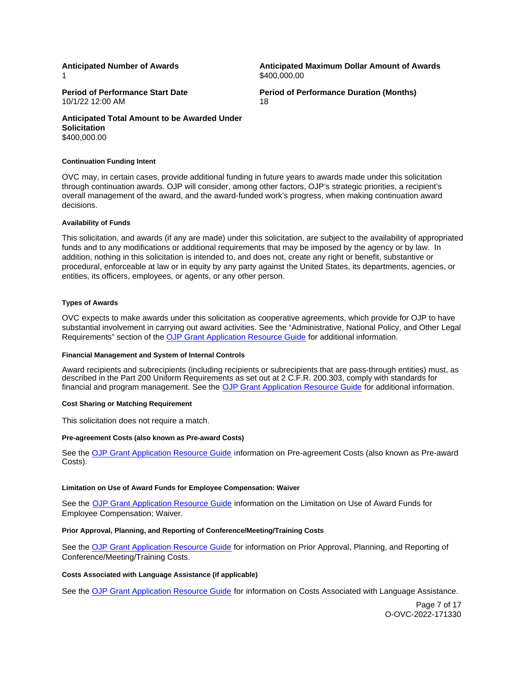1

<span id="page-7-0"></span>**Anticipated Number of Awards Anticipated Maximum Dollar Amount of Awards**  \$[400,000.00](https://400,000.00)

10/1/22 12:00 AM 18

**Period of Performance Start Date**  Period of Performance Duration (Months)

**Anticipated Total Amount to be Awarded Under Solicitation**  [\\$400,000.00](https://400,000.00) 

#### **Continuation Funding Intent**

OVC may, in certain cases, provide additional funding in future years to awards made under this solicitation through continuation awards. OJP will consider, among other factors, OJP's strategic priorities, a recipient's overall management of the award, and the award-funded work's progress, when making continuation award decisions.

#### **Availability of Funds**

This solicitation, and awards (if any are made) under this solicitation, are subject to the availability of appropriated funds and to any modifications or additional requirements that may be imposed by the agency or by law. In addition, nothing in this solicitation is intended to, and does not, create any right or benefit, substantive or procedural, enforceable at law or in equity by any party against the United States, its departments, agencies, or entities, its officers, employees, or agents, or any other person.

#### **Types of Awards**

OVC expects to make awards under this solicitation as cooperative agreements, which provide for OJP to have substantial involvement in carrying out award activities. See the "Administrative, National Policy, and Other Legal Requirements" section of the [OJP Grant Application Resource Guide](https://www.ojp.gov/funding/apply/ojp-grant-application-resource-guide#administrative) for additional information.

#### **Financial Management and System of Internal Controls**

Award recipients and subrecipients (including recipients or subrecipients that are pass-through entities) must, as described in the Part 200 Uniform Requirements as set out at 2 C.F.R. 200.303, comply with standards for financial and program management. See the [OJP Grant Application Resource Guide](https://www.ojp.gov/funding/apply/ojp-grant-application-resource-guide#fm-internal-controls) for additional information.

#### **Cost Sharing or Matching Requirement**

This solicitation does not require a match.

#### **Pre-agreement Costs (also known as Pre-award Costs)**

See the [OJP Grant Application Resource Guide](https://www.ojp.gov/funding/apply/ojp-grant-application-resource-guide#pre-agreement-costs) information on Pre-agreement Costs (also known as Pre-award Costs).

#### **Limitation on Use of Award Funds for Employee Compensation: Waiver**

See the [OJP Grant Application Resource Guide](https://www.ojp.gov/funding/apply/ojp-grant-application-resource-guide#limitation-use-award) information on the Limitation on Use of Award Funds for Employee Compensation; Waiver.

## **Prior Approval, Planning, and Reporting of Conference/Meeting/Training Costs**

See the [OJP Grant Application Resource Guide](https://www.ojp.gov/funding/apply/ojp-grant-application-resource-guide#prior-approval) for information on Prior Approval, Planning, and Reporting of Conference/Meeting/Training Costs.

#### **Costs Associated with Language Assistance (if applicable)**

See the [OJP Grant Application Resource Guide](https://www.ojp.gov/funding/apply/ojp-grant-application-resource-guide#costs-associated) for information on Costs Associated with Language Assistance.

Page 7 of 17 O-OVC-2022-171330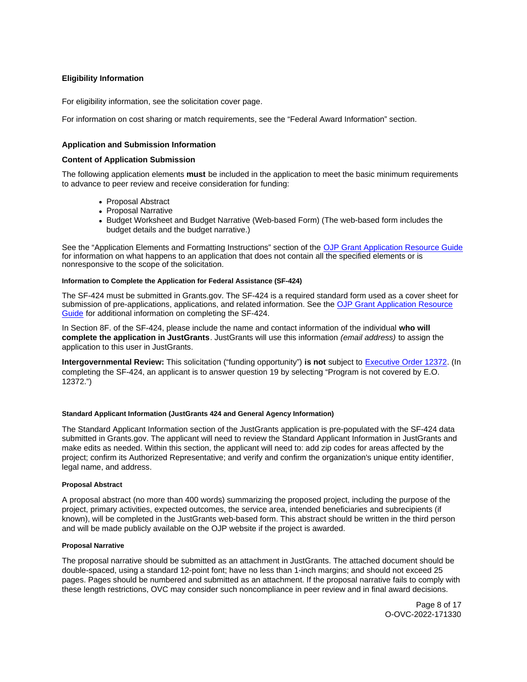## <span id="page-8-0"></span>**Eligibility Information**

For eligibility information, see the solicitation cover page.

For information on cost sharing or match requirements, see the "Federal Award Information" section.

## **Application and Submission Information**

## **Content of Application Submission**

The following application elements **must** be included in the application to meet the basic minimum requirements to advance to peer review and receive consideration for funding:

- Proposal Abstract
- Proposal Narrative
- Budget Worksheet and Budget Narrative (Web-based Form) (The web-based form includes the budget details and the budget narrative.)

See the "Application Elements and Formatting Instructions" section of the [OJP Grant Application Resource Guide](https://www.ojp.gov/funding/apply/ojp-grant-application-resource-guide#application-elements)  for information on what happens to an application that does not contain all the specified elements or is nonresponsive to the scope of the solicitation.

#### **Information to Complete the Application for Federal Assistance (SF-424)**

The SF-424 must be submitted in [Grants.gov.](https://Grants.gov) The SF-424 is a required standard form used as a cover sheet for submission of pre-applications, applications, and related information. See the [OJP Grant Application Resource](https://www.ojp.gov/funding/apply/ojp-grant-application-resource-guide#complete-application)  [Guide](https://www.ojp.gov/funding/apply/ojp-grant-application-resource-guide#complete-application) for additional information on completing the SF-424.

In Section 8F. of the SF-424, please include the name and contact information of the individual **who will complete the application in JustGrants**. JustGrants will use this information (email address) to assign the application to this user in JustGrants.

**Intergovernmental Review:** This solicitation ("funding opportunity") **is not** subject to [Executive Order 12372.](https://www.archives.gov/federal-register/codification/executive-order/12372.html) (In completing the SF-424, an applicant is to answer question 19 by selecting "Program is not covered by E.O. 12372.")

#### **Standard Applicant Information (JustGrants 424 and General Agency Information)**

The Standard Applicant Information section of the JustGrants application is pre-populated with the SF-424 data submitted in [Grants.gov](https://Grants.gov). The applicant will need to review the Standard Applicant Information in JustGrants and make edits as needed. Within this section, the applicant will need to: add zip codes for areas affected by the project; confirm its Authorized Representative; and verify and confirm the organization's unique entity identifier, legal name, and address.

#### **Proposal Abstract**

A proposal abstract (no more than 400 words) summarizing the proposed project, including the purpose of the project, primary activities, expected outcomes, the service area, intended beneficiaries and subrecipients (if known), will be completed in the JustGrants web-based form. This abstract should be written in the third person and will be made publicly available on the OJP website if the project is awarded.

#### **Proposal Narrative**

The proposal narrative should be submitted as an attachment in JustGrants. The attached document should be double-spaced, using a standard 12-point font; have no less than 1-inch margins; and should not exceed 25 pages. Pages should be numbered and submitted as an attachment. If the proposal narrative fails to comply with these length restrictions, OVC may consider such noncompliance in peer review and in final award decisions.

> Page 8 of 17 O-OVC-2022-171330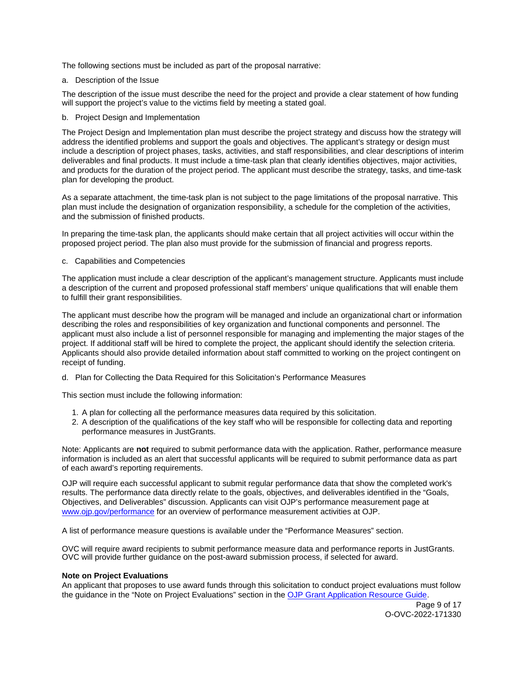The following sections must be included as part of the proposal narrative:

a. Description of the Issue

The description of the issue must describe the need for the project and provide a clear statement of how funding will support the project's value to the victims field by meeting a stated goal.

b. Project Design and Implementation

The Project Design and Implementation plan must describe the project strategy and discuss how the strategy will address the identified problems and support the goals and objectives. The applicant's strategy or design must include a description of project phases, tasks, activities, and staff responsibilities, and clear descriptions of interim deliverables and final products. It must include a time-task plan that clearly identifies objectives, major activities, and products for the duration of the project period. The applicant must describe the strategy, tasks, and time-task plan for developing the product.

As a separate attachment, the time-task plan is not subject to the page limitations of the proposal narrative. This plan must include the designation of organization responsibility, a schedule for the completion of the activities, and the submission of finished products.

In preparing the time-task plan, the applicants should make certain that all project activities will occur within the proposed project period. The plan also must provide for the submission of financial and progress reports.

c. Capabilities and Competencies

The application must include a clear description of the applicant's management structure. Applicants must include a description of the current and proposed professional staff members' unique qualifications that will enable them to fulfill their grant responsibilities.

The applicant must describe how the program will be managed and include an organizational chart or information describing the roles and responsibilities of key organization and functional components and personnel. The applicant must also include a list of personnel responsible for managing and implementing the major stages of the project. If additional staff will be hired to complete the project, the applicant should identify the selection criteria. Applicants should also provide detailed information about staff committed to working on the project contingent on receipt of funding.

d. Plan for Collecting the Data Required for this Solicitation's Performance Measures

This section must include the following information:

- 1. A plan for collecting all the performance measures data required by this solicitation.
- 2. A description of the qualifications of the key staff who will be responsible for collecting data and reporting performance measures in JustGrants.

Note: Applicants are **not** required to submit performance data with the application. Rather, performance measure information is included as an alert that successful applicants will be required to submit performance data as part of each award's reporting requirements.

OJP will require each successful applicant to submit regular performance data that show the completed work's results. The performance data directly relate to the goals, objectives, and deliverables identified in the "Goals, Objectives, and Deliverables" discussion. Applicants can visit OJP's performance measurement page at [www.ojp.gov/performance](https://www.ojp.gov/performance) for an overview of performance measurement activities at OJP.

A list of performance measure questions is available under the "Performance Measures" section.

OVC will require award recipients to submit performance measure data and performance reports in JustGrants. OVC will provide further guidance on the post-award submission process, if selected for award.

## **Note on Project Evaluations**

An applicant that proposes to use award funds through this solicitation to conduct project evaluations must follow the guidance in the "Note on Project Evaluations" section in the [OJP Grant Application Resource Guide.](https://www.ojp.gov/funding/apply/ojp-grant-application-resource-guide#project-evaluations)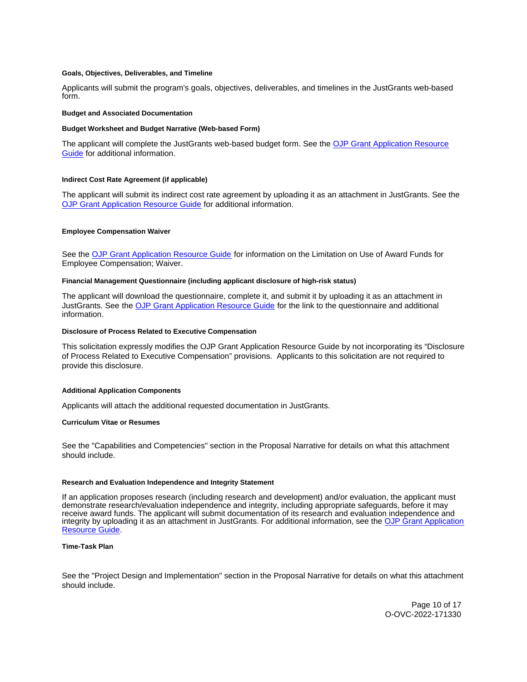#### <span id="page-10-0"></span>**Goals, Objectives, Deliverables, and Timeline**

Applicants will submit the program's goals, objectives, deliverables, and timelines in the JustGrants web-based form.

#### **Budget and Associated Documentation**

#### **Budget Worksheet and Budget Narrative (Web-based Form)**

The applicant will complete the JustGrants web-based budget form. See the [OJP Grant Application Resource](https://www.ojp.gov/funding/apply/ojp-grant-application-resource-guide#budget-prep)  [Guide](https://www.ojp.gov/funding/apply/ojp-grant-application-resource-guide#budget-prep) for additional information.

#### **Indirect Cost Rate Agreement (if applicable)**

The applicant will submit its indirect cost rate agreement by uploading it as an attachment in JustGrants. See the [OJP Grant Application Resource Guide](https://www.ojp.gov/funding/apply/ojp-grant-application-resource-guide#indirect-cost) for additional information.

#### **Employee Compensation Waiver**

See the [OJP Grant Application Resource Guide](https://www.ojp.gov/funding/apply/ojp-grant-application-resource-guide#limitation-use-award) for information on the Limitation on Use of Award Funds for Employee Compensation; Waiver.

#### **Financial Management Questionnaire (including applicant disclosure of high-risk status)**

The applicant will download the questionnaire, complete it, and submit it by uploading it as an attachment in JustGrants. See the [OJP Grant Application Resource Guide](https://www.ojp.gov/funding/apply/ojp-grant-application-resource-guide#fm-internal-controls-questionnaire) for the link to the questionnaire and additional information.

#### **Disclosure of Process Related to Executive Compensation**

This solicitation expressly modifies the OJP Grant Application Resource Guide by not incorporating its "Disclosure of Process Related to Executive Compensation" provisions. Applicants to this solicitation are not required to provide this disclosure.

#### **Additional Application Components**

Applicants will attach the additional requested documentation in JustGrants.

#### **Curriculum Vitae or Resumes**

See the "Capabilities and Competencies" section in the Proposal Narrative for details on what this attachment should include.

#### **Research and Evaluation Independence and Integrity Statement**

If an application proposes research (including research and development) and/or evaluation, the applicant must demonstrate research/evaluation independence and integrity, including appropriate safeguards, before it may receive award funds. The applicant will submit documentation of its research and evaluation independence and integrity by uploading it as an attachment in JustGrants. For additional information, see the [OJP Grant Application](https://www.ojp.gov/funding/apply/ojp-grant-application-resource-guide#research-evaluation)  [Resource Guide.](https://www.ojp.gov/funding/apply/ojp-grant-application-resource-guide#research-evaluation)

#### **Time-Task Plan**

See the "Project Design and Implementation" section in the Proposal Narrative for details on what this attachment should include.

> Page 10 of 17 O-OVC-2022-171330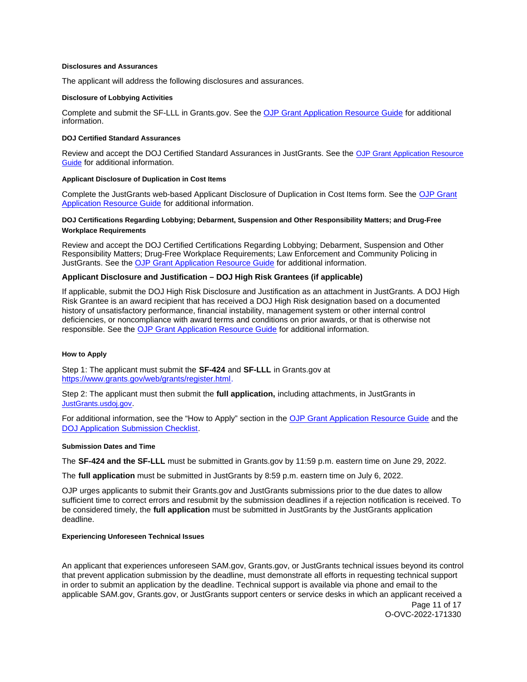#### <span id="page-11-0"></span>**Disclosures and Assurances**

The applicant will address the following disclosures and assurances.

#### **Disclosure of Lobbying Activities**

Complete and submit the SF-LLL in [Grants.gov](https://Grants.gov). See the [OJP Grant Application Resource Guide](https://www.ojp.gov/funding/apply/ojp-grant-application-resource-guide#disclosure-lobby) for additional information.

#### **DOJ Certified Standard Assurances**

Review and accept the DOJ Certified Standard Assurances in JustGrants. See the [OJP Grant Application Resource](https://www.ojp.gov/funding/apply/ojp-grant-application-resource-guide#administrative)  [Guide](https://www.ojp.gov/funding/apply/ojp-grant-application-resource-guide#administrative) for additional information.

#### **Applicant Disclosure of Duplication in Cost Items**

Complete the JustGrants web-based Applicant Disclosure of Duplication in Cost Items form. See the [OJP Grant](https://www.ojp.gov/funding/apply/ojp-grant-application-resource-guide#applicant-disclosure-pending-applications)  [Application Resource Guide](https://www.ojp.gov/funding/apply/ojp-grant-application-resource-guide#applicant-disclosure-pending-applications) for additional information.

#### **DOJ Certifications Regarding Lobbying; Debarment, Suspension and Other Responsibility Matters; and Drug-Free Workplace Requirements**

Review and accept the DOJ Certified Certifications Regarding Lobbying; Debarment, Suspension and Other Responsibility Matters; Drug-Free Workplace Requirements; Law Enforcement and Community Policing in JustGrants. See the [OJP Grant Application Resource Guide](https://www.ojp.gov/funding/apply/ojp-grant-application-resource-guide#administrative) for additional information.

## **Applicant Disclosure and Justification – DOJ High Risk Grantees (if applicable)**

If applicable, submit the DOJ High Risk Disclosure and Justification as an attachment in JustGrants. A DOJ High Risk Grantee is an award recipient that has received a DOJ High Risk designation based on a documented history of unsatisfactory performance, financial instability, management system or other internal control deficiencies, or noncompliance with award terms and conditions on prior awards, or that is otherwise not responsible. See the [OJP Grant Application Resource Guide](https://www.ojp.gov/funding/apply/ojp-grant-application-resource-guide#administrative) for additional information.

#### **How to Apply**

Step 1: The applicant must submit the **SF-424** and **SF-LLL** in [Grants.gov](https://Grants.gov) at [https://www.grants.gov/web/grants/register.html.](https://www.grants.gov/web/grants/register.html)

Step 2: The applicant must then submit the **full application,** including attachments, in JustGrants in [JustGrants.usdoj.gov.](https://justicegrants.usdoj.gov/)

For additional information, see the "How to Apply" section in the [OJP Grant Application Resource Guide](https://www.ojp.gov/funding/apply/ojp-grant-application-resource-guide#apply) and the [DOJ Application Submission Checklist.](https://justicegrants.usdoj.gov/sites/g/files/xyckuh296/files/media/document/appln-submission-checklist.pdf)

#### **Submission Dates and Time**

The **SF-424 and the SF-LLL** must be submitted in [Grants.gov](https://Grants.gov) by 11:59 p.m. eastern time on June 29, 2022.

The **full application** must be submitted in JustGrants by 8:59 p.m. eastern time on July 6, 2022.

OJP urges applicants to submit their [Grants.gov](https://Grants.gov) and JustGrants submissions prior to the due dates to allow sufficient time to correct errors and resubmit by the submission deadlines if a rejection notification is received. To be considered timely, the **full application** must be submitted in JustGrants by the JustGrants application deadline.

#### **Experiencing Unforeseen Technical Issues**

An applicant that experiences unforeseen SAM.gov, [Grants.gov](https://Grants.gov), or JustGrants technical issues beyond its control that prevent application submission by the deadline, must demonstrate all efforts in requesting technical support in order to submit an application by the deadline. Technical support is available via phone and email to the applicable SAM.gov, [Grants.gov,](https://Grants.gov) or JustGrants support centers or service desks in which an applicant received a Page 11 of 17

O-OVC-2022-171330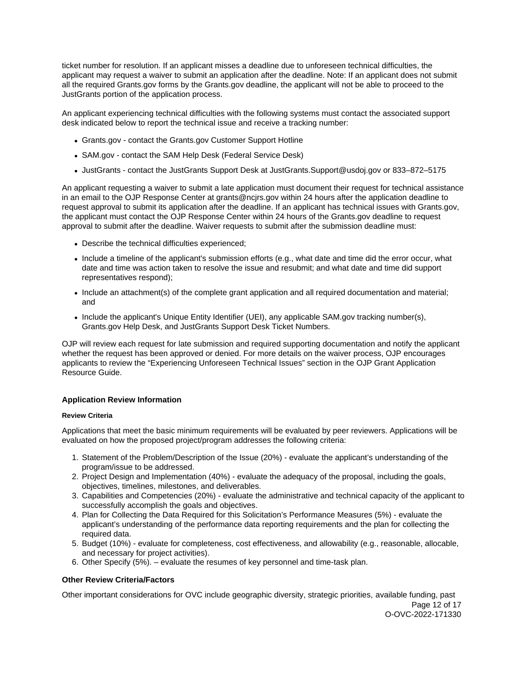<span id="page-12-0"></span>ticket number for resolution. If an applicant misses a deadline due to unforeseen technical difficulties, the applicant may request a waiver to submit an application after the deadline. Note: If an applicant does not submit all the required [Grants.gov](https://Grants.gov) forms by the [Grants.gov](https://Grants.gov) deadline, the applicant will not be able to proceed to the JustGrants portion of the application process.

An applicant experiencing technical difficulties with the following systems must contact the associated support desk indicated below to report the technical issue and receive a tracking number:

- [Grants.gov](https://Grants.gov)  contact the [Grants.gov](https://Grants.gov) Customer Support Hotline
- SAM.gov contact the SAM Help Desk (Federal Service Desk)
- JustGrants contact the JustGrants Support Desk at [JustGrants.Support@usdoj.gov](mailto:JustGrants.Support@usdoj.gov) or 833–872–5175

An applicant requesting a waiver to submit a late application must document their request for technical assistance in an email to the OJP Response Center at [grants@ncjrs.gov](mailto:grants@ncjrs.gov) within 24 hours after the application deadline to request approval to submit its application after the deadline. If an applicant has technical issues with [Grants.gov](https://Grants.gov), the applicant must contact the OJP Response Center within 24 hours of the [Grants.gov](https://Grants.gov) deadline to request approval to submit after the deadline. Waiver requests to submit after the submission deadline must:

- Describe the technical difficulties experienced;
- Include a timeline of the applicant's submission efforts (e.g., what date and time did the error occur, what date and time was action taken to resolve the issue and resubmit; and what date and time did support representatives respond);
- Include an attachment(s) of the complete grant application and all required documentation and material; and
- Include the applicant's Unique Entity Identifier (UEI), any applicable SAM.gov tracking number(s), [Grants.gov](https://Grants.gov) Help Desk, and JustGrants Support Desk Ticket Numbers.

OJP will review each request for late submission and required supporting documentation and notify the applicant whether the request has been approved or denied. For more details on the waiver process, OJP encourages applicants to review the "Experiencing Unforeseen Technical Issues" section in the OJP Grant Application Resource Guide.

## **Application Review Information**

## **Review Criteria**

Applications that meet the basic minimum requirements will be evaluated by peer reviewers. Applications will be evaluated on how the proposed project/program addresses the following criteria:

- 1. Statement of the Problem/Description of the Issue (20%) evaluate the applicant's understanding of the program/issue to be addressed.
- 2. Project Design and Implementation (40%) evaluate the adequacy of the proposal, including the goals, objectives, timelines, milestones, and deliverables.
- 3. Capabilities and Competencies (20%) evaluate the administrative and technical capacity of the applicant to successfully accomplish the goals and objectives.
- 4. Plan for Collecting the Data Required for this Solicitation's Performance Measures (5%) evaluate the applicant's understanding of the performance data reporting requirements and the plan for collecting the required data.
- 5. Budget (10%) evaluate for completeness, cost effectiveness, and allowability (e.g., reasonable, allocable, and necessary for project activities).
- 6. Other Specify (5%). evaluate the resumes of key personnel and time-task plan.

## **Other Review Criteria/Factors**

Other important considerations for OVC include geographic diversity, strategic priorities, available funding, past Page 12 of 17 O-OVC-2022-171330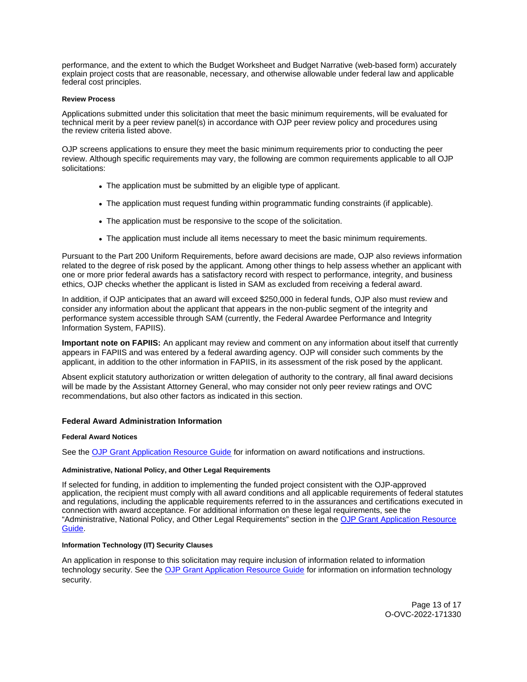<span id="page-13-0"></span>performance, and the extent to which the Budget Worksheet and Budget Narrative (web-based form) accurately explain project costs that are reasonable, necessary, and otherwise allowable under federal law and applicable federal cost principles.

#### **Review Process**

Applications submitted under this solicitation that meet the basic minimum requirements, will be evaluated for technical merit by a peer review panel(s) in accordance with OJP peer review policy and procedures using the review criteria listed above.

OJP screens applications to ensure they meet the basic minimum requirements prior to conducting the peer review. Although specific requirements may vary, the following are common requirements applicable to all OJP solicitations:

- The application must be submitted by an eligible type of applicant.
- The application must request funding within programmatic funding constraints (if applicable).
- The application must be responsive to the scope of the solicitation.
- The application must include all items necessary to meet the basic minimum requirements.

Pursuant to the Part 200 Uniform Requirements, before award decisions are made, OJP also reviews information related to the degree of risk posed by the applicant. Among other things to help assess whether an applicant with one or more prior federal awards has a satisfactory record with respect to performance, integrity, and business ethics, OJP checks whether the applicant is listed in SAM as excluded from receiving a federal award.

In addition, if OJP anticipates that an award will exceed \$250,000 in federal funds, OJP also must review and consider any information about the applicant that appears in the non-public segment of the integrity and performance system accessible through SAM (currently, the Federal Awardee Performance and Integrity Information System, FAPIIS).

**Important note on FAPIIS:** An applicant may review and comment on any information about itself that currently appears in FAPIIS and was entered by a federal awarding agency. OJP will consider such comments by the applicant, in addition to the other information in FAPIIS, in its assessment of the risk posed by the applicant.

Absent explicit statutory authorization or written delegation of authority to the contrary, all final award decisions will be made by the Assistant Attorney General, who may consider not only peer review ratings and OVC recommendations, but also other factors as indicated in this section.

#### **Federal Award Administration Information**

#### **Federal Award Notices**

See the [OJP Grant Application Resource Guide](https://www.ojp.gov/funding/apply/ojp-grant-application-resource-guide#federal-award-notices) for information on award notifications and instructions.

#### **Administrative, National Policy, and Other Legal Requirements**

If selected for funding, in addition to implementing the funded project consistent with the OJP-approved application, the recipient must comply with all award conditions and all applicable requirements of federal statutes and regulations, including the applicable requirements referred to in the assurances and certifications executed in connection with award acceptance. For additional information on these legal requirements, see the "Administrative, National Policy, and Other Legal Requirements" section in the [OJP Grant Application Resource](https://www.ojp.gov/funding/apply/ojp-grant-application-resource-guide#administrative)  [Guide.](https://www.ojp.gov/funding/apply/ojp-grant-application-resource-guide#administrative)

## **Information Technology (IT) Security Clauses**

An application in response to this solicitation may require inclusion of information related to information technology security. See the [OJP Grant Application Resource Guide](https://www.ojp.gov/funding/apply/ojp-grant-application-resource-guide#information-technology) for information on information technology security.

> Page 13 of 17 O-OVC-2022-171330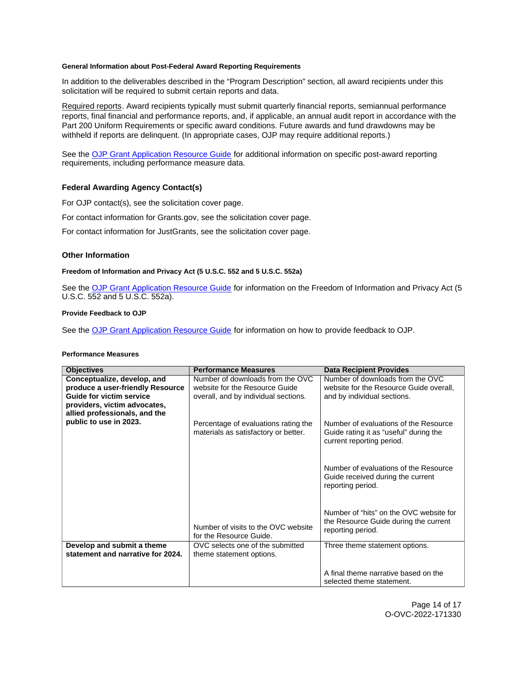### <span id="page-14-0"></span>**General Information about Post-Federal Award Reporting Requirements**

In addition to the deliverables described in the "Program Description" section, all award recipients under this solicitation will be required to submit certain reports and data.

Required reports. Award recipients typically must submit quarterly financial reports, semiannual performance reports, final financial and performance reports, and, if applicable, an annual audit report in accordance with the Part 200 Uniform Requirements or specific award conditions. Future awards and fund drawdowns may be withheld if reports are delinquent. (In appropriate cases, OJP may require additional reports.)

See the [OJP Grant Application Resource Guide](https://www.ojp.gov/funding/apply/ojp-grant-application-resource-guide#general-information) for additional information on specific post-award reporting requirements, including performance measure data.

## **Federal Awarding Agency Contact(s)**

For OJP contact(s), see the solicitation cover page.

For contact information for [Grants.gov,](https://Grants.gov) see the solicitation cover page.

For contact information for JustGrants, see the solicitation cover page.

## **Other Information**

#### **Freedom of Information and Privacy Act (5 U.S.C. 552 and 5 U.S.C. 552a)**

See the [OJP Grant Application Resource Guide](https://www.ojp.gov/funding/apply/ojp-grant-application-resource-guide#foia) for information on the Freedom of Information and Privacy Act (5 U.S.C. 552 and 5 U.S.C. 552a).

## **Provide Feedback to OJP**

See the [OJP Grant Application Resource Guide](https://www.ojp.gov/funding/apply/ojp-grant-application-resource-guide#feedback) for information on how to provide feedback to OJP.

#### **Performance Measures**

| <b>Objectives</b>                                                                                                                                                   | <b>Performance Measures</b>                                                                                | <b>Data Recipient Provides</b>                                                                               |
|---------------------------------------------------------------------------------------------------------------------------------------------------------------------|------------------------------------------------------------------------------------------------------------|--------------------------------------------------------------------------------------------------------------|
| Conceptualize, develop, and<br>produce a user-friendly Resource<br><b>Guide for victim service</b><br>providers, victim advocates,<br>allied professionals, and the | Number of downloads from the OVC<br>website for the Resource Guide<br>overall, and by individual sections. | Number of downloads from the OVC<br>website for the Resource Guide overall,<br>and by individual sections.   |
| public to use in 2023.                                                                                                                                              | Percentage of evaluations rating the<br>materials as satisfactory or better.                               | Number of evaluations of the Resource<br>Guide rating it as "useful" during the<br>current reporting period. |
|                                                                                                                                                                     |                                                                                                            | Number of evaluations of the Resource<br>Guide received during the current<br>reporting period.              |
|                                                                                                                                                                     | Number of visits to the OVC website<br>for the Resource Guide.                                             | Number of "hits" on the OVC website for<br>the Resource Guide during the current<br>reporting period.        |
| Develop and submit a theme<br>statement and narrative for 2024.                                                                                                     | OVC selects one of the submitted                                                                           | Three theme statement options.                                                                               |
|                                                                                                                                                                     | theme statement options.                                                                                   |                                                                                                              |
|                                                                                                                                                                     |                                                                                                            | A final theme narrative based on the<br>selected theme statement.                                            |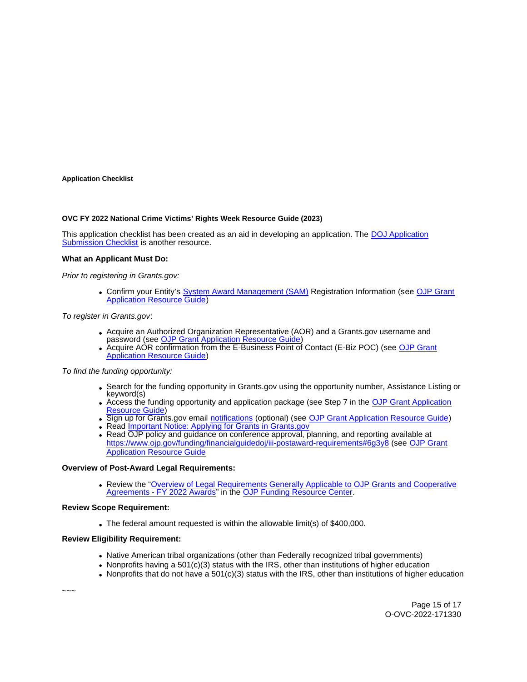#### <span id="page-15-0"></span>**Application Checklist**

#### **OVC FY 2022 National Crime Victims' Rights Week Resource Guide (2023)**

This application checklist has been created as an aid in developing an application. The [DOJ Application](https://justicegrants.usdoj.gov/sites/g/files/xyckuh296/files/media/document/appln-submission-checklist.pdf)  [Submission Checklist](https://justicegrants.usdoj.gov/sites/g/files/xyckuh296/files/media/document/appln-submission-checklist.pdf) is another resource.

#### **What an Applicant Must Do:**

Prior to registering in [Grants.gov:](https://Grants.gov)

• Confirm your Entity's [System Award Management \(SAM\)](https://sam.gov/SAM/) Registration Information (see OJP Grant [Application Resource Guide\)](https://www.ojp.gov/funding/apply/ojp-grant-application-resource-guide#apply)

To register in [Grants.gov](https://Grants.gov):

- Acquire an Authorized Organization Representative (AOR) and a [Grants.gov](https://Grants.gov) username and password (see OJP Grant Application Resource Guide
- Acquire AOR confirmation from the E-Business Point of Contact (E-Biz POC) (see [OJP Grant](https://www.ojp.gov/funding/apply/ojp-grant-application-resource-guide#apply)  [Application Resource Guide\)](https://www.ojp.gov/funding/apply/ojp-grant-application-resource-guide#apply)

To find the funding opportunity:

- Search for the funding opportunity in [Grants.gov](https://Grants.gov) using the opportunity number, Assistance Listing or keyword(s)
- Access the funding opportunity and application package (see Step 7 in the [OJP Grant Application](https://www.ojp.gov/funding/apply/ojp-grant-application-resource-guide#apply)  [Resource Guide\)](https://www.ojp.gov/funding/apply/ojp-grant-application-resource-guide#apply)
- Sign up for [Grants.gov](https://Grants.gov) email [notifications](https://www.grants.gov/web/grants/manage-subscriptions.html) (optional) (see [OJP Grant Application Resource Guide\)](https://www.ojp.gov/funding/apply/ojp-grant-application-resource-guide#apply)
- Read *Important Notice: Applying for Grants in Grants.gov*
- Read OJP policy and guidance on conference approval, planning, and reporting available at <https://www.ojp.gov/funding/financialguidedoj/iii-postaward-requirements#6g3y8>(see [OJP Grant](https://www.ojp.gov/funding/apply/ojp-grant-application-resource-guide#prior-approval)  [Application Resource Guide](https://www.ojp.gov/funding/apply/ojp-grant-application-resource-guide#prior-approval)

#### **Overview of Post-Award Legal Requirements:**

Review the ["Overview of Legal Requirements Generally Applicable to OJP Grants and Cooperative](https://www.ojp.gov/funding/explore/legal-overview-awards)  [Agreements - FY 2022 Awards"](https://www.ojp.gov/funding/explore/legal-overview-awards) in the [OJP Funding Resource Center.](https://www.ojp.gov/funding/explore/legal-overview-awards)

#### **Review Scope Requirement:**

The federal amount requested is within the allowable limit(s) of \$400,000.

## **Review Eligibility Requirement:**

- Native American tribal organizations (other than Federally recognized tribal governments)
- Nonprofits having a 501(c)(3) status with the IRS, other than institutions of higher education
- Nonprofits that do not have a  $501(c)(3)$  status with the IRS, other than institutions of higher education

~~~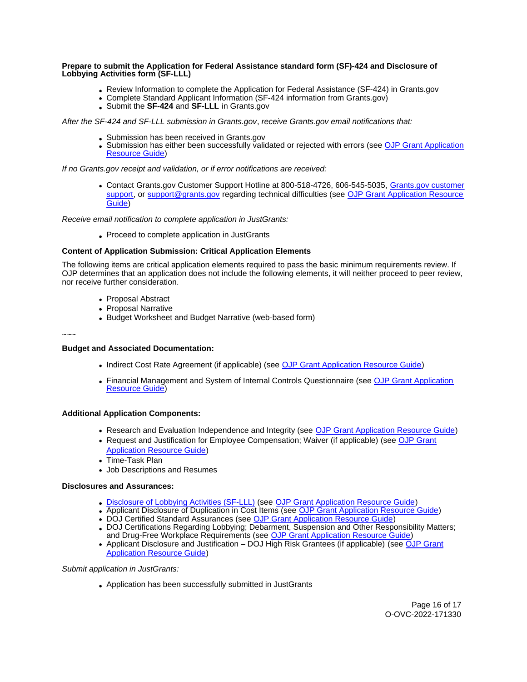#### **Prepare to submit the Application for Federal Assistance standard form (SF)-424 and Disclosure of Lobbying Activities form (SF-LLL)**

- Review Information to complete the Application for Federal Assistance (SF-424) in [Grants.gov](https://Grants.gov)
- Complete Standard Applicant Information (SF-424 information from [Grants.gov\)](https://Grants.gov)
- Submit the **SF-424** and **SF-LLL** in [Grants.gov](https://Grants.gov)

After the SF-424 and SF-LLL submission in [Grants.gov](https://Grants.gov), receive [Grants.gov](https://Grants.gov) email notifications that:

- Submission has been received in [Grants.gov](https://Grants.gov)
- Submission has either been successfully validated or rejected with errors (see OJP Grant Application [Resource Guide\)](https://www.ojp.gov/funding/apply/ojp-grant-application-resource-guide#apply)

If no [Grants.gov](https://Grants.gov) receipt and validation, or if error notifications are received:

Contact [Grants.gov](https://Grants.gov) Customer Support Hotline at 800-518-4726, 606-545-5035, [Grants.gov customer](https://www.grants.gov/web/grants/support.html)  [support,](https://www.grants.gov/web/grants/support.html) or [support@grants.gov](mailto:support@grants.gov) regarding technical difficulties (see OJP Grant Application Resource [Guide\)](https://www.ojp.gov/funding/apply/ojp-grant-application-resource-guide#apply)

Receive email notification to complete application in JustGrants:

Proceed to complete application in JustGrants

## **Content of Application Submission: Critical Application Elements**

The following items are critical application elements required to pass the basic minimum requirements review. If OJP determines that an application does not include the following elements, it will neither proceed to peer review, nor receive further consideration.

- Proposal Abstract
- Proposal Narrative
- Budget Worksheet and Budget Narrative (web-based form)

~~~

## **Budget and Associated Documentation:**

- Indirect Cost Rate Agreement (if applicable) (see [OJP Grant Application Resource Guide\)](https://www.ojp.gov/funding/apply/ojp-grant-application-resource-guide#indirect-cost)
- Financial Management and System of Internal Controls Questionnaire (see [OJP Grant Application](https://www.ojp.gov/funding/apply/ojp-grant-application-resource-guide#fm-internal-controls-questionnaire)  [Resource Guide\)](https://www.ojp.gov/funding/apply/ojp-grant-application-resource-guide#fm-internal-controls-questionnaire)

## **Additional Application Components:**

- Research and Evaluation Independence and Integrity (see [OJP Grant Application Resource Guide\)](https://www.ojp.gov/funding/apply/ojp-grant-application-resource-guide#research-evaluation)
- Request and Justification for Employee Compensation; Waiver (if applicable) (see [OJP Grant](https://www.ojp.gov/funding/apply/ojp-grant-application-resource-guide#limitation-use-award)  [Application Resource Guide\)](https://www.ojp.gov/funding/apply/ojp-grant-application-resource-guide#limitation-use-award)
- Time-Task Plan
- Job Descriptions and Resumes

## **Disclosures and Assurances:**

- [Disclosure of Lobbying Activities \(SF-LLL\)](https://ojp.gov/funding/Apply/Resources/Disclosure.pdf) (see [OJP Grant Application Resource Guide\)](https://www.ojp.gov/funding/apply/ojp-grant-application-resource-guide#disclosure-lobby)
- Applicant Disclosure of Duplication in Cost Items (see [OJP Grant Application Resource Guide\)](https://www.ojp.gov/funding/apply/ojp-grant-application-resource-guide#applicant-disclosure-pending-applications)
- DOJ Certified Standard Assurances (see [OJP Grant Application Resource Guide\)](https://www.ojp.gov/funding/apply/ojp-grant-application-resource-guide#administrative)
- DOJ Certifications Regarding Lobbying; Debarment, Suspension and Other Responsibility Matters; and Drug-Free Workplace Requirements (see [OJP Grant Application Resource Guide\)](https://www.ojp.gov/funding/apply/ojp-grant-application-resource-guide#administrative)
- Applicant Disclosure and Justification DOJ High Risk Grantees (if applicable) (see OJP Grant [Application Resource Guide\)](https://www.ojp.gov/funding/apply/ojp-grant-application-resource-guide#applicant-disclosure-justification)

Submit application in JustGrants:

Application has been successfully submitted in JustGrants

Page 16 of 17 O-OVC-2022-171330